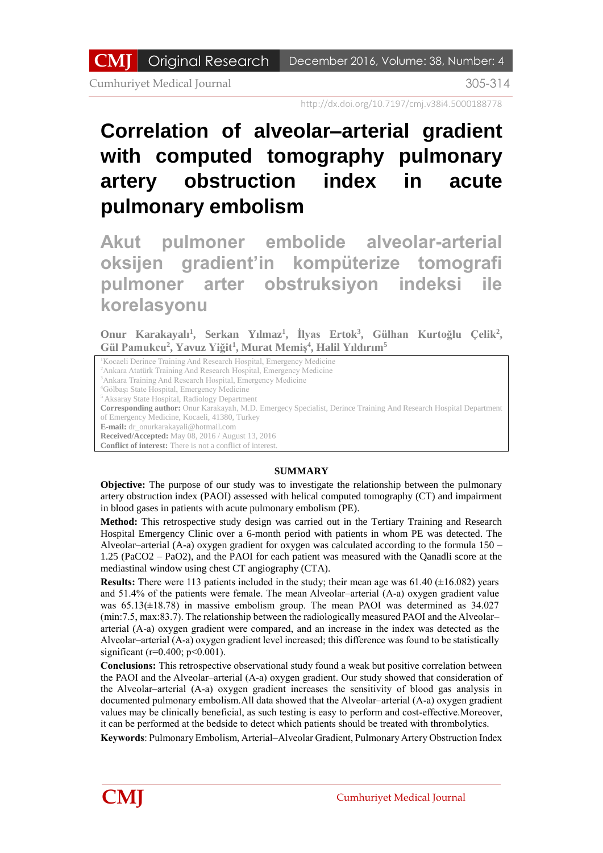Cumhuriyet Medical Journal 305-314

http://dx.doi.org/10.7197/cmj.v38i4.5000188778

# **Correlation of alveolar–arterial gradient with computed tomography pulmonary artery obstruction index in acute pulmonary embolism**

**Akut pulmoner embolide alveolar-arterial oksijen gradient'in kompüterize tomografi pulmoner arter obstruksiyon indeksi ile korelasyonu**

**Onur Karakayalı 1 , Serkan Yılmaz<sup>1</sup> , İlyas Ertok<sup>3</sup> , Gülhan Kurtoğlu Çelik<sup>2</sup> , Gül Pamukcu<sup>2</sup> , Yavuz Yiğit<sup>1</sup> , Murat Memiş<sup>4</sup> , Halil Yıldırım<sup>5</sup>**

<sup>1</sup>Kocaeli Derince Training And Research Hospital, Emergency Medicine <sup>2</sup>Ankara Atatürk Training And Research Hospital, Emergency Medicine <sup>3</sup>Ankara Training And Research Hospital, Emergency Medicine <sup>4</sup>Gölbaşı State Hospital, Emergency Medicine <sup>5</sup>Aksaray State Hospital, Radiology Department **Corresponding author:** Onur Karakayalı, M.D. Emergecy Specialist, Derince Training And Research Hospital Department of Emergency Medicine, Kocaeli, 41380, Turkey **E-mail:** dr\_onurkarakayali@hotmail.com **Received/Accepted:** May 08, 2016 / August 13, 2016 **Conflict of interest:** There is not a conflict of interest.

#### **SUMMARY**

**Objective:** The purpose of our study was to investigate the relationship between the pulmonary artery obstruction index (PAOI) assessed with helical computed tomography (CT) and impairment in blood gases in patients with acute pulmonary embolism (PE).

**Method:** This retrospective study design was carried out in the Tertiary Training and Research Hospital Emergency Clinic over a 6-month period with patients in whom PE was detected. The Alveolar–arterial (A-a) oxygen gradient for oxygen was calculated according to the formula 150 – 1.25 (PaCO2 – PaO2), and the PAOI for each patient was measured with the Qanadli score at the mediastinal window using chest CT angiography (CTA).

**Results:** There were 113 patients included in the study; their mean age was  $61.40$  ( $\pm 16.082$ ) years and 51.4% of the patients were female. The mean Alveolar–arterial (A-a) oxygen gradient value was  $65.13(\pm 18.78)$  in massive embolism group. The mean PAOI was determined as  $34.027$ (min:7.5, max:83.7). The relationship between the radiologically measured PAOI and the Alveolar– arterial (A-a) oxygen gradient were compared, and an increase in the index was detected as the Alveolar–arterial (A-a) oxygen gradient level increased; this difference was found to be statistically significant ( $r=0.400$ ;  $p<0.001$ ).

**Conclusions:** This retrospective observational study found a weak but positive correlation between the PAOI and the Alveolar–arterial (A-a) oxygen gradient. Our study showed that consideration of the Alveolar–arterial (A-a) oxygen gradient increases the sensitivity of blood gas analysis in documented pulmonary embolism.All data showed that the Alveolar–arterial (A-a) oxygen gradient values may be clinically beneficial, as such testing is easy to perform and cost-effective.Moreover, it can be performed at the bedside to detect which patients should be treated with thrombolytics.

**Keywords**: Pulmonary Embolism, Arterial–Alveolar Gradient, Pulmonary Artery Obstruction Index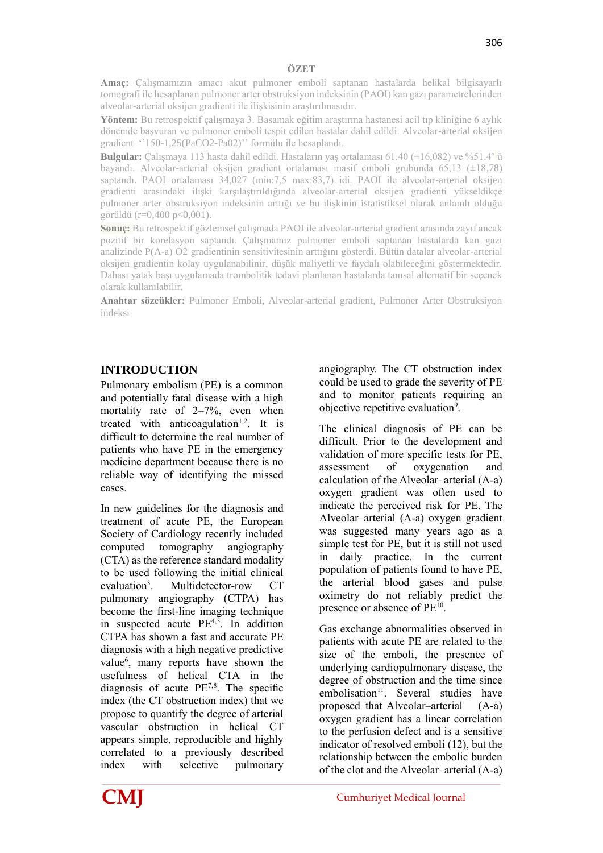**Amaç:** Çalışmamızın amacı akut pulmoner emboli saptanan hastalarda helikal bilgisayarlı tomografi ile hesaplanan pulmoner arter obstruksiyon indeksinin (PAOI) kan gazı parametrelerinden alveolar-arterial oksijen gradienti ile ilişkisinin araştırılmasıdır.

**Yöntem:** Bu retrospektif çalışmaya 3. Basamak eğitim araştırma hastanesi acil tıp kliniğine 6 aylık dönemde başvuran ve pulmoner emboli tespit edilen hastalar dahil edildi. Alveolar-arterial oksijen gradient ''150-1,25(PaCO2-Pa02)'' formülu ile hesaplandı.

**Bulgular:** Çalışmaya 113 hasta dahil edildi. Hastaların yaş ortalaması 61.40 (±16,082) ve %51.4' ü bayandı. Alveolar-arterial oksijen gradient ortalaması masif emboli grubunda 65,13 (±18,78) saptandı. PAOI ortalaması 34,027 (min:7,5 max:83,7) idi. PAOI ile alveolar-arterial oksijen gradienti arasındaki ilişki karşılaştırıldığında alveolar-arterial oksijen gradienti yükseldikçe pulmoner arter obstruksiyon indeksinin arttığı ve bu ilişkinin istatistiksel olarak anlamlı olduğu görüldü (r=0,400 p<0,001).

**Sonuç:** Bu retrospektif gözlemsel çalışmada PAOI ile alveolar-arterial gradient arasında zayıf ancak pozitif bir korelasyon saptandı. Çalışmamız pulmoner emboli saptanan hastalarda kan gazı analizinde P(A-a) O2 gradientinin sensitivitesinin arttığını gösterdi. Bütün datalar alveolar-arterial oksijen gradientin kolay uygulanabilinir, düşük maliyetli ve faydalı olabileceğini göstermektedir. Dahası yatak başı uygulamada trombolitik tedavi planlanan hastalarda tanısal alternatif bir seçenek olarak kullanılabilir.

**Anahtar sözcükler:** Pulmoner Emboli, Alveolar-arterial gradient, Pulmoner Arter Obstruksiyon indeksi

# **INTRODUCTION**

Pulmonary embolism (PE) is a common and potentially fatal disease with a high mortality rate of 2–7%, even when treated with anticoagulation<sup>1,2</sup>. It is difficult to determine the real number of patients who have PE in the emergency medicine department because there is no reliable way of identifying the missed cases.

In new guidelines for the diagnosis and treatment of acute PE, the European Society of Cardiology recently included computed tomography angiography (CTA) as the reference standard modality to be used following the initial clinical evaluation $3$ . . Multidetector-row CT pulmonary angiography (CTPA) has become the first-line imaging technique in suspected acute  $PE<sup>4,5</sup>$ . In addition CTPA has shown a fast and accurate PE diagnosis with a high negative predictive value<sup>6</sup>, many reports have shown the usefulness of helical CTA in the diagnosis of acute PE7,8. The specific index (the CT obstruction index) that we propose to quantify the degree of arterial vascular obstruction in helical CT appears simple, reproducible and highly correlated to a previously described index with selective pulmonary

angiography. The CT obstruction index could be used to grade the severity of PE and to monitor patients requiring an objective repetitive evaluation<sup>9</sup>.

The clinical diagnosis of PE can be difficult. Prior to the development and validation of more specific tests for PE, assessment of oxygenation and calculation of the Alveolar–arterial (A-a) oxygen gradient was often used to indicate the perceived risk for PE. The Alveolar–arterial (A-a) oxygen gradient was suggested many years ago as a simple test for PE, but it is still not used in daily practice. In the current population of patients found to have PE, the arterial blood gases and pulse oximetry do not reliably predict the presence or absence of PE<sup>10</sup>.

Gas exchange abnormalities observed in patients with acute PE are related to the size of the emboli, the presence of underlying cardiopulmonary disease, the degree of obstruction and the time since embolisation<sup>11</sup>. Several studies have proposed that Alveolar–arterial (A-a) oxygen gradient has a linear correlation to the perfusion defect and is a sensitive indicator of resolved emboli (12), but the relationship between the embolic burden of the clot and the Alveolar–arterial (A-a)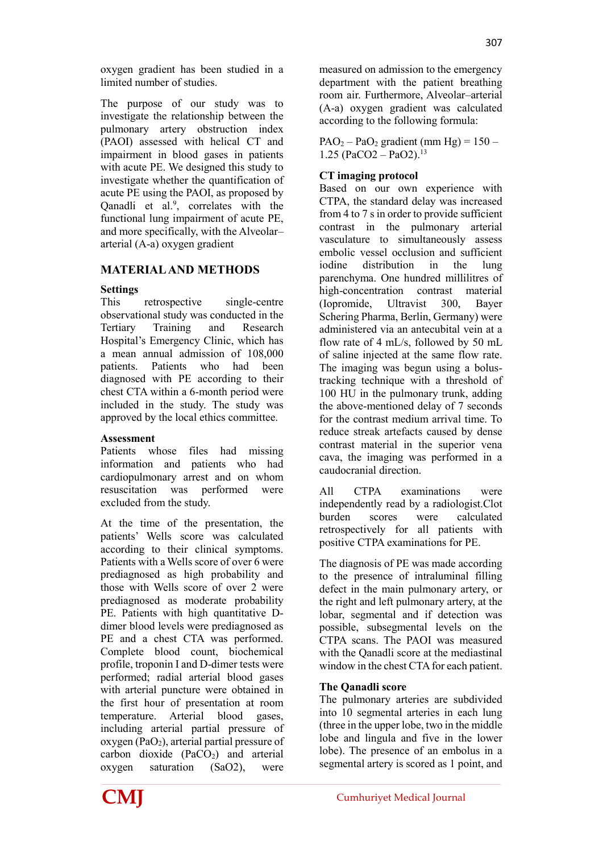oxygen gradient has been studied in a limited number of studies.

The purpose of our study was to investigate the relationship between the pulmonary artery obstruction index (PAOI) assessed with helical CT and impairment in blood gases in patients with acute PE. We designed this study to investigate whether the quantification of acute PE using the PAOI, as proposed by Qanadli et al.<sup>9</sup>, correlates with the functional lung impairment of acute PE, and more specifically, with the Alveolar– arterial (A-a) oxygen gradient

# **MATERIAL AND METHODS**

### **Settings**

This retrospective single-centre observational study was conducted in the Tertiary Training and Research Hospital's Emergency Clinic, which has a mean annual admission of 108,000 patients. Patients who had been diagnosed with PE according to their chest CTA within a 6-month period were included in the study. The study was approved by the local ethics committee.

#### **Assessment**

Patients whose files had missing information and patients who had cardiopulmonary arrest and on whom resuscitation was performed were excluded from the study.

At the time of the presentation, the patients' Wells score was calculated according to their clinical symptoms. Patients with a Wells score of over 6 were prediagnosed as high probability and those with Wells score of over 2 were prediagnosed as moderate probability PE. Patients with high quantitative Ddimer blood levels were prediagnosed as PE and a chest CTA was performed. Complete blood count, biochemical profile, troponin I and D-dimer tests were performed; radial arterial blood gases with arterial puncture were obtained in the first hour of presentation at room temperature. Arterial blood gases, including arterial partial pressure of oxygen ( $PaO<sub>2</sub>$ ), arterial partial pressure of carbon dioxide  $(PaCO<sub>2</sub>)$  and arterial oxygen saturation (SaO2), were

measured on admission to the emergency department with the patient breathing room air. Furthermore, Alveolar–arterial (A-a) oxygen gradient was calculated according to the following formula:

 $PAO<sub>2</sub> - PaO<sub>2</sub>$  gradient (mm Hg) = 150 –  $1.25$  (PaCO2 – PaO2).<sup>13</sup>

#### **CT imaging protocol**

Based on our own experience with CTPA, the standard delay was increased from 4 to 7 s in order to provide sufficient contrast in the pulmonary arterial vasculature to simultaneously assess embolic vessel occlusion and sufficient iodine distribution in the lung parenchyma. One hundred millilitres of high-concentration contrast material (Iopromide, Ultravist 300, Bayer Schering Pharma, Berlin, Germany) were administered via an antecubital vein at a flow rate of 4 mL/s, followed by 50 mL of saline injected at the same flow rate. The imaging was begun using a bolustracking technique with a threshold of 100 HU in the pulmonary trunk, adding the above-mentioned delay of 7 seconds for the contrast medium arrival time. To reduce streak artefacts caused by dense contrast material in the superior vena cava, the imaging was performed in a caudocranial direction.

All CTPA examinations were independently read by a radiologist.Clot burden scores were calculated retrospectively for all patients with positive CTPA examinations for PE.

The diagnosis of PE was made according to the presence of intraluminal filling defect in the main pulmonary artery, or the right and left pulmonary artery, at the lobar, segmental and if detection was possible, subsegmental levels on the CTPA scans. The PAOI was measured with the Qanadli score at the mediastinal window in the chest CTA for each patient.

#### **The Qanadli score**

The pulmonary arteries are subdivided into 10 segmental arteries in each lung (three in the upper lobe, two in the middle lobe and lingula and five in the lower lobe). The presence of an embolus in a segmental artery is scored as 1 point, and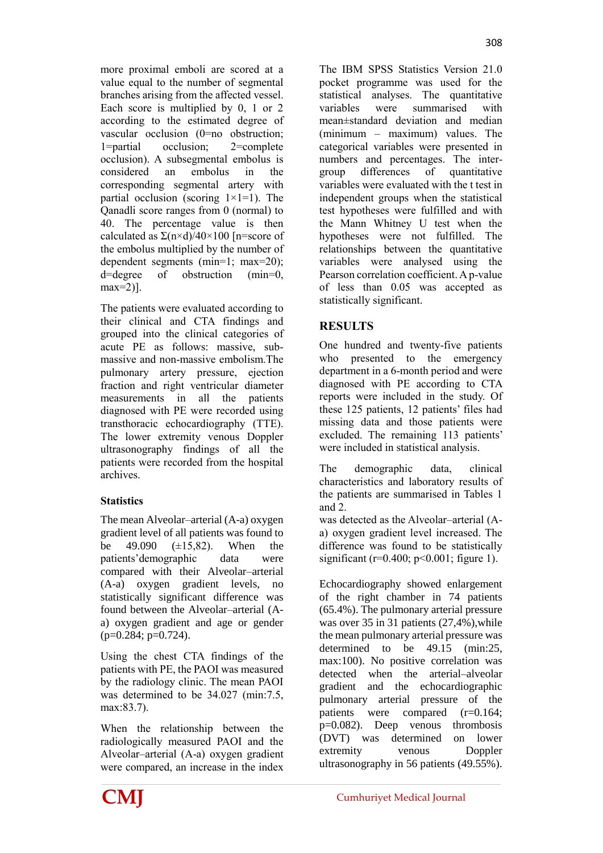more proximal emboli are scored at a value equal to the number of segmental branches arising from the affected vessel. Each score is multiplied by 0, 1 or 2 according to the estimated degree of vascular occlusion (0=no obstruction; 1=partial occlusion; 2=complete occlusion). A subsegmental embolus is considered an embolus in the corresponding segmental artery with partial occlusion (scoring  $1 \times 1 = 1$ ). The Qanadli score ranges from 0 (normal) to 40. The percentage value is then calculated as  $\Sigma$ (n×d)/40×100 [n=score of the embolus multiplied by the number of dependent segments (min=1; max=20); d=degree of obstruction (min=0, max=2)].

The patients were evaluated according to their clinical and CTA findings and grouped into the clinical categories of acute PE as follows: massive, submassive and non-massive embolism.The pulmonary artery pressure, ejection fraction and right ventricular diameter measurements in all the patients diagnosed with PE were recorded using transthoracic echocardiography (TTE). The lower extremity venous Doppler ultrasonography findings of all the patients were recorded from the hospital archives.

## **Statistics**

The mean Alveolar–arterial (A-a) oxygen gradient level of all patients was found to be  $49.090$   $(\pm 15.82)$ . When the patients'demographic data were compared with their Alveolar–arterial (A-a) oxygen gradient levels, no statistically significant difference was found between the Alveolar–arterial (Aa) oxygen gradient and age or gender  $(p=0.284; p=0.724)$ .

Using the chest CTA findings of the patients with PE, the PAOI was measured by the radiology clinic. The mean PAOI was determined to be  $34.027$  (min: 7.5, max:83.7).

When the relationship between the radiologically measured PAOI and the Alveolar–arterial (A-a) oxygen gradient were compared, an increase in the index

The IBM SPSS Statistics Version 21.0 pocket programme was used for the statistical analyses. The quantitative variables were summarised with mean±standard deviation and median (minimum – maximum) values. The categorical variables were presented in numbers and percentages. The intergroup differences of quantitative variables were evaluated with the t test in independent groups when the statistical test hypotheses were fulfilled and with the Mann Whitney U test when the hypotheses were not fulfilled. The relationships between the quantitative variables were analysed using the Pearson correlation coefficient. A p-value of less than 0.05 was accepted as statistically significant.

# **RESULTS**

One hundred and twenty-five patients who presented to the emergency department in a 6-month period and were diagnosed with PE according to CTA reports were included in the study. Of these 125 patients, 12 patients' files had missing data and those patients were excluded. The remaining 113 patients' were included in statistical analysis.

The demographic data, clinical characteristics and laboratory results of the patients are summarised in Tables 1 and 2.

was detected as the Alveolar–arterial (Aa) oxygen gradient level increased. The difference was found to be statistically significant ( $r=0.400$ ;  $p<0.001$ ; figure 1).

Echocardiography showed enlargement of the right chamber in 74 patients (65.4%). The pulmonary arterial pressure was over 35 in 31 patients (27,4%), while the mean pulmonary arterial pressure was determined to be 49.15 (min:25, max:100). No positive correlation was detected when the arterial–alveolar gradient and the echocardiographic pulmonary arterial pressure of the patients were compared (r=0.164; p=0.082). Deep venous thrombosis (DVT) was determined on lower extremity venous Doppler ultrasonography in 56 patients (49.55%).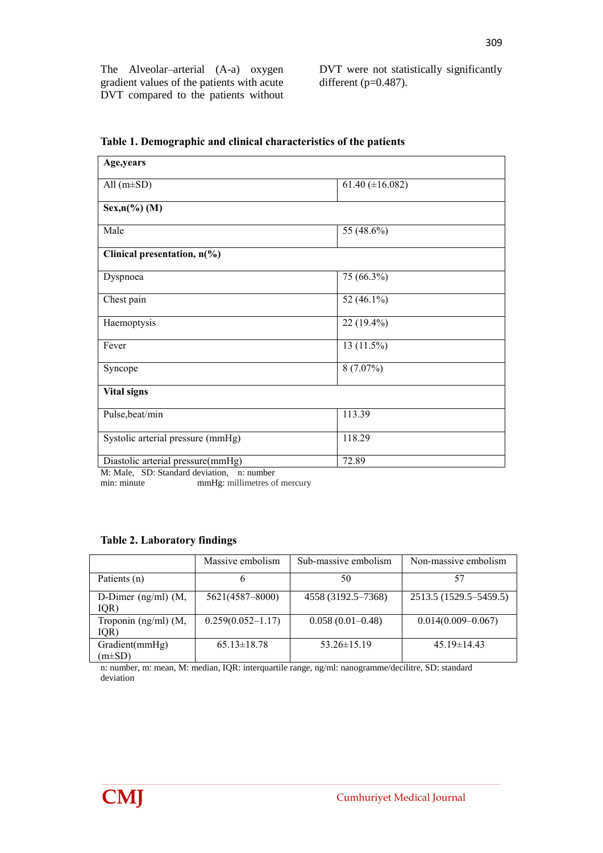The Alveolar–arterial (A-a) oxygen gradient values of the patients with acute DVT compared to the patients without DVT were not statistically significantly different (p=0.487).

| Age,years                                  |                       |  |
|--------------------------------------------|-----------------------|--|
| All $(m\pm SD)$                            | 61.40 ( $\pm$ 16.082) |  |
| $Sex, n(\%)(M)$                            |                       |  |
| Male                                       | 55 (48.6%)            |  |
| Clinical presentation, n(%)                |                       |  |
| Dyspnoea                                   | 75 (66.3%)            |  |
| Chest pain                                 | 52 (46.1%)            |  |
| Haemoptysis                                | 22 (19.4%)            |  |
| Fever                                      | 13 (11.5%)            |  |
| Syncope                                    | $8(7.07\%)$           |  |
| <b>Vital signs</b>                         |                       |  |
| Pulse, beat/min                            | 113.39                |  |
| Systolic arterial pressure (mmHg)          | 118.29                |  |
| Diastolic arterial pressure(mmHg)<br>72.89 |                       |  |

**Table 1. Demographic and clinical characteristics of the patients**

M: Male, SD: Standard deviation, n: number

min: minute mmHg: millimetres of mercury

#### **Table 2. Laboratory findings**

|                                  | Massive embolism      | Sub-massive embolism | Non-massive embolism   |  |  |
|----------------------------------|-----------------------|----------------------|------------------------|--|--|
| Patients (n)                     | b                     | 50                   |                        |  |  |
| D-Dimer ( $ng/ml$ ) (M,<br>IQR)  | 5621(4587-8000)       | 4558 (3192.5–7368)   | 2513.5 (1529.5–5459.5) |  |  |
| Troponin $(ng/ml)$ $(M,$<br>IQR) | $0.259(0.052 - 1.17)$ | $0.058(0.01 - 0.48)$ | $0.014(0.009 - 0.067)$ |  |  |
| Gradient(mmHg)<br>$m\pm SD$      | $65.13 \pm 18.78$     | $53.26 \pm 15.19$    | $45.19 \pm 14.43$      |  |  |

n: number, m: mean, M: median, IQR: interquartile range, ng/ml: nanogramme/decilitre, SD: standard deviation

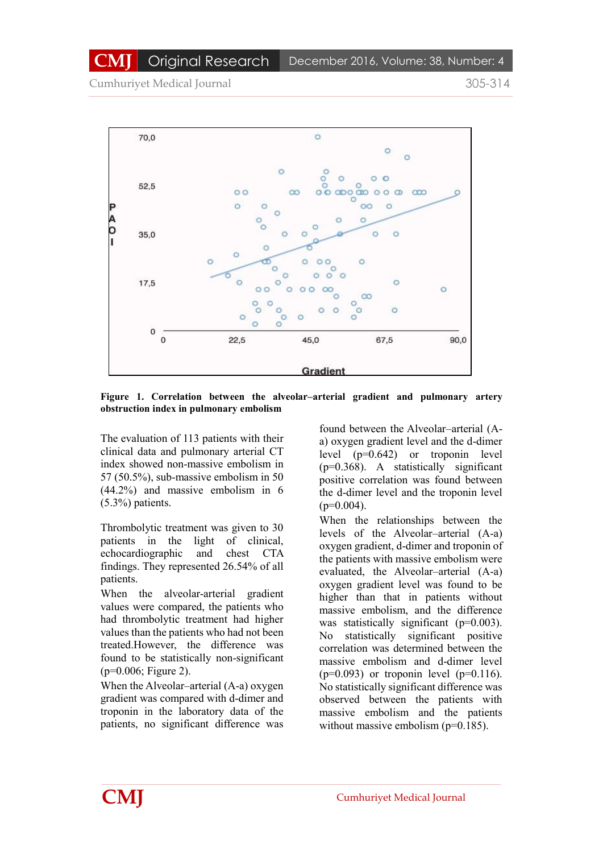Cumhuriyet Medical Journal 305-314



**Figure 1. Correlation between the alveolar–arterial gradient and pulmonary artery obstruction index in pulmonary embolism**

The evaluation of 113 patients with their clinical data and pulmonary arterial CT index showed non-massive embolism in 57 (50.5%), sub-massive embolism in 50 (44.2%) and massive embolism in 6 (5.3%) patients.

Thrombolytic treatment was given to 30 patients in the light of clinical, echocardiographic and chest CTA findings. They represented 26.54% of all patients.

When the alveolar-arterial gradient values were compared, the patients who had thrombolytic treatment had higher values than the patients who had not been treated.However, the difference was found to be statistically non-significant (p=0.006; Figure 2).

When the Alveolar–arterial (A-a) oxygen gradient was compared with d-dimer and troponin in the laboratory data of the patients, no significant difference was

found between the Alveolar–arterial (Aa) oxygen gradient level and the d-dimer level (p=0.642) or troponin level (p=0.368). A statistically significant positive correlation was found between the d-dimer level and the troponin level  $(p=0.004)$ .

When the relationships between the levels of the Alveolar–arterial (A-a) oxygen gradient, d-dimer and troponin of the patients with massive embolism were evaluated, the Alveolar–arterial (A-a) oxygen gradient level was found to be higher than that in patients without massive embolism, and the difference was statistically significant (p=0.003). No statistically significant positive correlation was determined between the massive embolism and d-dimer level  $(p=0.093)$  or troponin level  $(p=0.116)$ . No statistically significant difference was observed between the patients with massive embolism and the patients without massive embolism (p=0.185).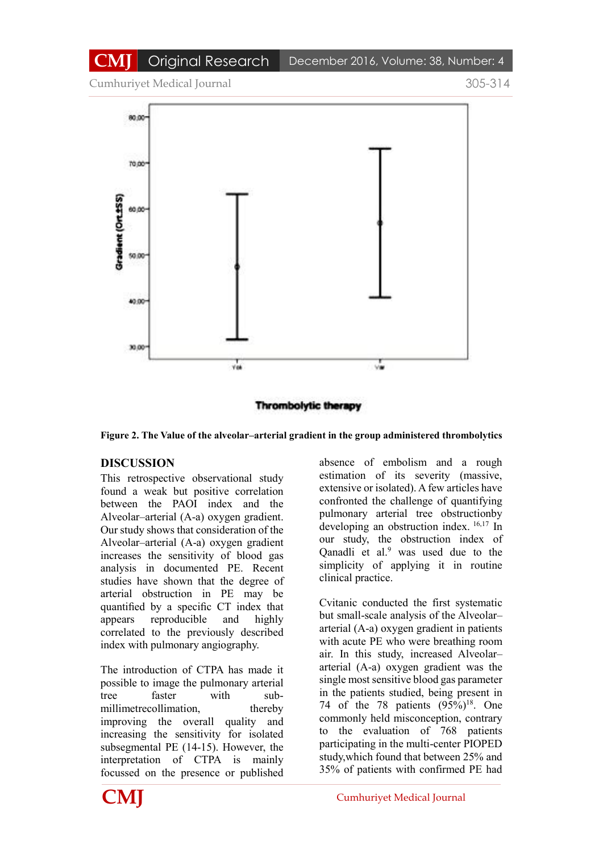Cumhuriyet Medical Journal 305-314



**Thrombolytic therapy** 

**Figure 2. The Value of the alveolar–arterial gradient in the group administered thrombolytics**

## **DISCUSSION**

This retrospective observational study found a weak but positive correlation between the PAOI index and the Alveolar–arterial (A-a) oxygen gradient. Our study shows that consideration of the Alveolar–arterial (A-a) oxygen gradient increases the sensitivity of blood gas analysis in documented PE. Recent studies have shown that the degree of arterial obstruction in PE may be quantified by a specific CT index that appears reproducible and highly correlated to the previously described index with pulmonary angiography.

The introduction of CTPA has made it possible to image the pulmonary arterial tree faster with submillimetrecollimation, thereby improving the overall quality and increasing the sensitivity for isolated subsegmental PE (14-15). However, the interpretation of CTPA is mainly focussed on the presence or published absence of embolism and a rough estimation of its severity (massive, extensive or isolated). A few articles have confronted the challenge of quantifying pulmonary arterial tree obstructionby developing an obstruction index. 16,17 In our study, the obstruction index of Qanadli et al.<sup>9</sup> was used due to the simplicity of applying it in routine clinical practice.

Cvitanic conducted the first systematic but small-scale analysis of the Alveolar– arterial (A-a) oxygen gradient in patients with acute PE who were breathing room air. In this study, increased Alveolar– arterial (A-a) oxygen gradient was the single most sensitive blood gas parameter in the patients studied, being present in 74 of the 78 patients  $(95\%)^{18}$ . One commonly held misconception, contrary to the evaluation of 768 patients participating in the multi-center PIOPED study,which found that between 25% and 35% of patients with confirmed PE had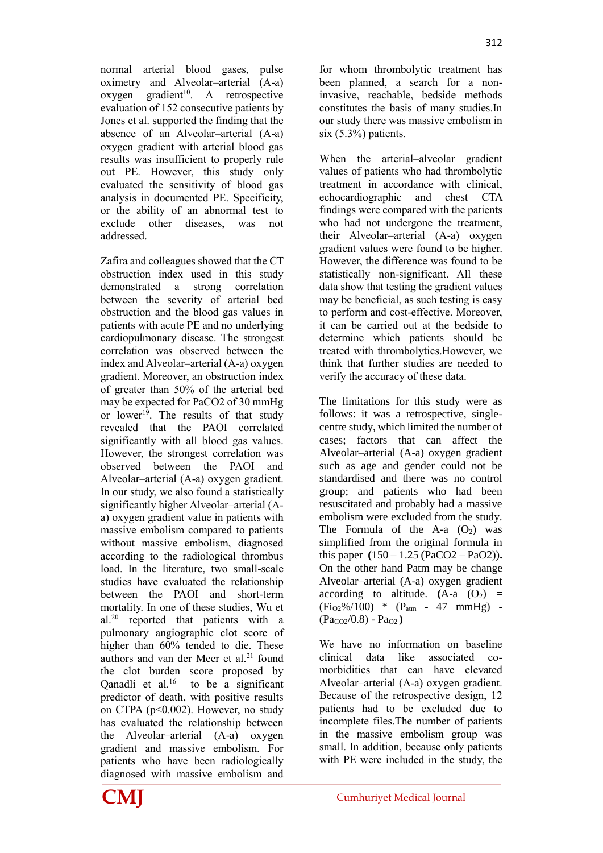normal arterial blood gases, pulse oximetry and Alveolar–arterial (A-a)  $oxygen$  gradient<sup>10</sup>. A retrospective evaluation of 152 consecutive patients by Jones et al. supported the finding that the absence of an Alveolar–arterial (A-a) oxygen gradient with arterial blood gas results was insufficient to properly rule out PE. However, this study only evaluated the sensitivity of blood gas analysis in documented PE. Specificity, or the ability of an abnormal test to exclude other diseases, was not addressed.

Zafira and colleagues showed that the CT obstruction index used in this study demonstrated a strong correlation between the severity of arterial bed obstruction and the blood gas values in patients with acute PE and no underlying cardiopulmonary disease. The strongest correlation was observed between the index and Alveolar–arterial (A-a) oxygen gradient. Moreover, an obstruction index of greater than 50% of the arterial bed may be expected for PaCO2 of 30 mmHg or lower<sup>19</sup>. The results of that study revealed that the PAOI correlated significantly with all blood gas values. However, the strongest correlation was observed between the PAOI and Alveolar–arterial (A-a) oxygen gradient. In our study, we also found a statistically significantly higher Alveolar–arterial (Aa) oxygen gradient value in patients with massive embolism compared to patients without massive embolism, diagnosed according to the radiological thrombus load. In the literature, two small-scale studies have evaluated the relationship between the PAOI and short-term mortality. In one of these studies, Wu et al.<sup>20</sup> reported that patients with a pulmonary angiographic clot score of higher than  $60\%$  tended to die. These authors and van der Meer et al.<sup>21</sup> found the clot burden score proposed by Qanadli et al. $^{16}$  to be a significant predictor of death, with positive results on CTPA (p<0.002). However, no study has evaluated the relationship between the Alveolar–arterial (A-a) oxygen gradient and massive embolism. For patients who have been radiologically diagnosed with massive embolism and for whom thrombolytic treatment has been planned, a search for a noninvasive, reachable, bedside methods constitutes the basis of many studies.In our study there was massive embolism in six (5.3%) patients.

When the arterial–alveolar gradient values of patients who had thrombolytic treatment in accordance with clinical, echocardiographic and chest CTA findings were compared with the patients who had not undergone the treatment, their Alveolar–arterial (A-a) oxygen gradient values were found to be higher. However, the difference was found to be statistically non-significant. All these data show that testing the gradient values may be beneficial, as such testing is easy to perform and cost-effective. Moreover, it can be carried out at the bedside to determine which patients should be treated with thrombolytics.However, we think that further studies are needed to verify the accuracy of these data.

The limitations for this study were as follows: it was a retrospective, singlecentre study, which limited the number of cases; factors that can affect the Alveolar–arterial (A-a) oxygen gradient such as age and gender could not be standardised and there was no control group; and patients who had been resuscitated and probably had a massive embolism were excluded from the study. The Formula of the A-a  $(O<sub>2</sub>)$  was simplified from the original formula in this paper **(**150 – 1.25 (PaCO2 – PaO2))**.**  On the other hand Patm may be change Alveolar–arterial (A-a) oxygen gradient according to altitude.  $(A-a)(O<sub>2</sub>)$  =  $(F_{1O2}\%/100)$  \*  $(P_{atm} - 47$  mmHg) - $(Pa_{CQ2}/0.8) - Pa_{Q2}$ 

We have no information on baseline clinical data like associated comorbidities that can have elevated Alveolar–arterial (A-a) oxygen gradient. Because of the retrospective design, 12 patients had to be excluded due to incomplete files.The number of patients in the massive embolism group was small. In addition, because only patients with PE were included in the study, the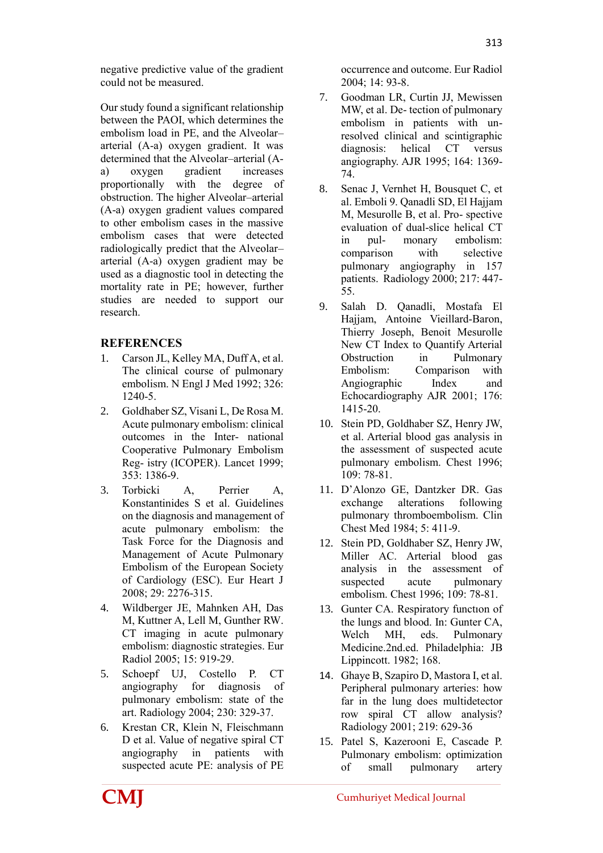Our study found a significant relationship between the PAOI, which determines the embolism load in PE, and the Alveolar– arterial (A-a) oxygen gradient. It was determined that the Alveolar–arterial (Aa) oxygen gradient increases proportionally with the degree of obstruction. The higher Alveolar–arterial (A-a) oxygen gradient values compared to other embolism cases in the massive embolism cases that were detected radiologically predict that the Alveolar– arterial (A-a) oxygen gradient may be used as a diagnostic tool in detecting the mortality rate in PE; however, further studies are needed to support our research.

# **REFERENCES**

- 1. Carson JL, Kelley MA, Duff A, et al. The clinical course of pulmonary embolism. N Engl J Med 1992; 326: 1240-5.
- 2. Goldhaber SZ, Visani L, De Rosa M. Acute pulmonary embolism: clinical outcomes in the Inter- national Cooperative Pulmonary Embolism Reg- istry (ICOPER). Lancet 1999; 353: 1386-9.
- 3. Torbicki A, Perrier A, Konstantinides S et al. Guidelines on the diagnosis and management of acute pulmonary embolism: the Task Force for the Diagnosis and Management of Acute Pulmonary Embolism of the European Society of Cardiology (ESC). Eur Heart J 2008; 29: 2276-315.
- 4. Wildberger JE, Mahnken AH, Das M, Kuttner A, Lell M, Gunther RW. CT imaging in acute pulmonary embolism: diagnostic strategies. Eur Radiol 2005; 15: 919-29.
- 5. Schoepf UJ, Costello P. CT angiography for diagnosis of pulmonary embolism: state of the art. Radiology 2004; 230: 329-37.
- 6. Krestan CR, Klein N, Fleischmann D et al. Value of negative spiral CT angiography in patients with suspected acute PE: analysis of PE

occurrence and outcome. Eur Radiol  $2004 \cdot 14 \cdot 93 - 8$ 

- 7. Goodman LR, Curtin JJ, Mewissen MW, et al. De- tection of pulmonary embolism in patients with unresolved clinical and scintigraphic diagnosis: helical CT versus angiography. AJR 1995; 164: 1369- 74.
- 8. Senac J, Vernhet H, Bousquet C, et al. Emboli 9. Qanadli SD, El Hajjam M, Mesurolle B, et al. Pro- spective evaluation of dual-slice helical CT in pul- monary embolism: comparison with selective pulmonary angiography in 157 patients. Radiology 2000; 217: 447- 55.
- 9. Salah D. Qanadli, Mostafa El Hajjam, Antoine Vieillard-Baron, Thierry Joseph, Benoit Mesurolle New CT Index to Quantify Arterial Obstruction in Pulmonary Embolism: Comparison with Angiographic Index and Echocardiography AJR 2001; 176: 1415-20.
- 10. Stein PD, Goldhaber SZ, Henry JW, et al. Arterial blood gas analysis in the assessment of suspected acute pulmonary embolism. Chest 1996;  $109.78 - 81$
- 11. D'Alonzo GE, Dantzker DR. Gas exchange alterations following pulmonary thromboembolism. Clin Chest Med 1984; 5: 411-9.
- 12. Stein PD, Goldhaber SZ, Henry JW, Miller AC. Arterial blood gas analysis in the assessment of suspected acute pulmonary embolism. Chest 1996; 109: 78-81.
- 13. Gunter CA. Respiratory functıon of the lungs and blood. In: Gunter CA, Welch MH, eds. Pulmonary Medicine.2nd.ed. Philadelphia: JB Lippincott. 1982; 168.
- 14. Ghaye B, Szapiro D, Mastora I, et al. Peripheral pulmonary arteries: how far in the lung does multidetector row spiral CT allow analysis? Radiology 2001; 219: 629-36
- 15. Patel S, Kazerooni E, Cascade P. Pulmonary embolism: optimization of small pulmonary artery